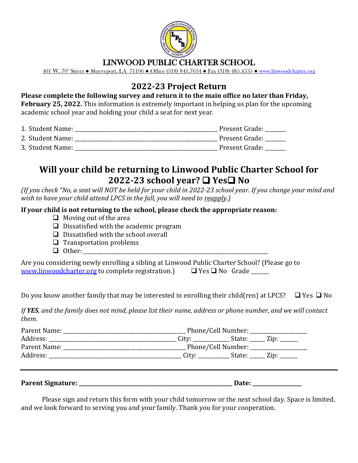

### LINWOOD PUBLIC CHARTER SCHOOL

401 W. 70<sup>th</sup> Street • Shreveport, LA 71106 • Office (318) 841.7634 • Fax (318) 485.4535 • [www.linwoodcharter.org](http://www.linwoodcharter.org/)

# **2022-23 Project Return**

**Please complete the following survey and return it to the main office no later than Friday, February 25, 2022.** This information is extremely important in helping us plan for the upcoming academic school year and holding your child a seat for next year.

| 1. Student Name: | Present Grade: |
|------------------|----------------|
| 2. Student Name: | Present Grade: |
| 3. Student Name: | Present Grade: |

## **Will your child be returning to Linwood Public Charter School for 2022-23 school year?** ❑ **Yes**❑ **No**

*(If you check "No, a seat will NOT be held for your child in 2022-23 school year. If you change your mind and wish to have your child attend LPCS in the fall, you will need to reapply.)*

#### **If your child is not returning to the school, please check the appropriate reason:**

- $\Box$  Moving out of the area
- $\Box$  Dissatisfied with the academic program
- ❑ Dissatisfied with the school overall
- ❑ Transportation problems
- ❑ Other: \_\_\_\_\_\_\_\_\_\_\_\_\_\_\_\_\_\_\_\_\_\_\_\_\_\_\_\_\_\_\_\_\_\_\_\_\_\_\_\_\_\_\_\_\_\_\_\_\_\_\_\_\_\_\_\_\_\_\_\_\_\_\_\_\_\_\_\_\_\_\_

| Are you considering newly enrolling a sibling at Linwood Public Charter School? (Please go to |                                  |
|-----------------------------------------------------------------------------------------------|----------------------------------|
| www.linwoodcharter.org to complete registration.)                                             | $\square$ Yes $\square$ No Grade |

Do you know another family that may be interested in enrolling their child(ren) at LPCS?  $\Box$  Yes  $\Box$  No

*If YES, and the family does not mind, please list their name, address or phone number, and we will contact them.*

| Parent Name:                                                                                                                                                                                                                   |                                    |                   |             |
|--------------------------------------------------------------------------------------------------------------------------------------------------------------------------------------------------------------------------------|------------------------------------|-------------------|-------------|
| Address: the contract of the contract of the contract of the contract of the contract of the contract of the contract of the contract of the contract of the contract of the contract of the contract of the contract of the c |                                    | City: State: Zip: |             |
| Parent Name:                                                                                                                                                                                                                   | Phone/Cell Number: _______________ |                   |             |
| Address:                                                                                                                                                                                                                       | City:                              |                   | State: Zip: |
|                                                                                                                                                                                                                                |                                    |                   |             |

| <b>Parent Signature:</b> |  |
|--------------------------|--|
|                          |  |

Please sign and return this form with your child tomorrow or the next school day. Space is limited, and we look forward to serving you and your family. Thank you for your cooperation.